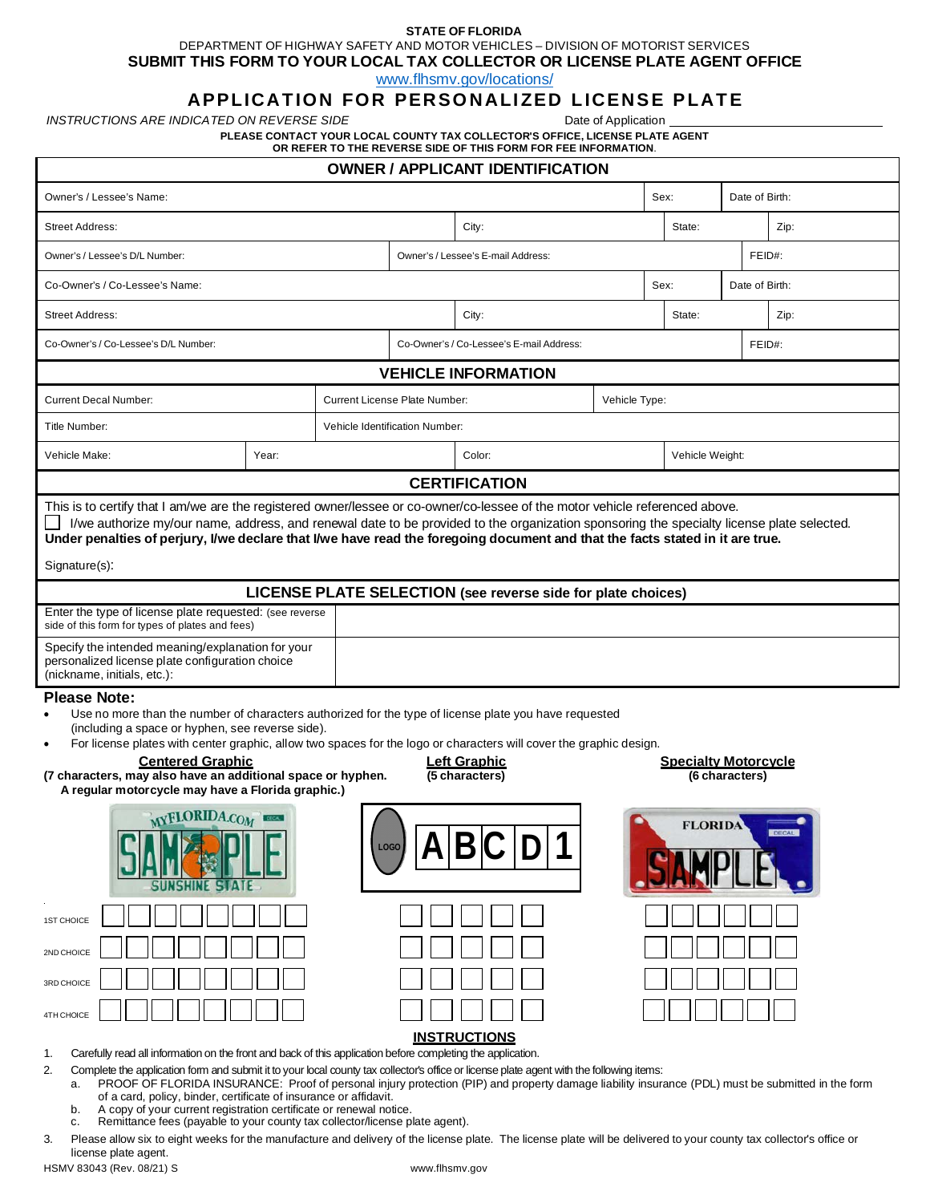## **STATE OF FLORIDA**

DEPARTMENT OF HIGHWAY SAFETY AND MOTOR VEHICLES – DIVISION OF MOTORIST SERVICES

**SUBMIT THIS FORM TO YOUR LOCAL TAX COLLECTOR OR LICENSE PLATE AGENT OFFICE**

[www.flhsmv.gov/locations/](https://www.flhsmv.gov/locations/)

## **APPLICATION FOR PERSONALIZED LICENSE PLATE**

*INSTRUCTIONS ARE INDICATED ON REVERSE SIDE* **Date of Application** Date of Application

**PLEASE CONTACT YOUR LOCAL COUNTY TAX COLLECTOR'S OFFICE, LICENSE PLATE AGENT OR REFER TO THE REVERSE SIDE OF THIS FORM FOR FEE INFORMATION**.

| <b>OWNER / APPLICANT IDENTIFICATION</b>                                                                                                                                                                                                                                                                                                                                                                                                                                                                                                                                   |       |             |                                                       |                                          |  |                |                 |        |  |  |  |
|---------------------------------------------------------------------------------------------------------------------------------------------------------------------------------------------------------------------------------------------------------------------------------------------------------------------------------------------------------------------------------------------------------------------------------------------------------------------------------------------------------------------------------------------------------------------------|-------|-------------|-------------------------------------------------------|------------------------------------------|--|----------------|-----------------|--------|--|--|--|
| Owner's / Lessee's Name:                                                                                                                                                                                                                                                                                                                                                                                                                                                                                                                                                  |       |             |                                                       |                                          |  | Date of Birth: |                 |        |  |  |  |
| <b>Street Address:</b>                                                                                                                                                                                                                                                                                                                                                                                                                                                                                                                                                    |       |             |                                                       | City:                                    |  | State:         |                 | Zip:   |  |  |  |
| Owner's / Lessee's D/L Number:                                                                                                                                                                                                                                                                                                                                                                                                                                                                                                                                            |       |             |                                                       | Owner's / Lessee's E-mail Address:       |  |                |                 | FEID#: |  |  |  |
| Co-Owner's / Co-Lessee's Name:                                                                                                                                                                                                                                                                                                                                                                                                                                                                                                                                            |       |             |                                                       | Sex:                                     |  |                | Date of Birth:  |        |  |  |  |
| <b>Street Address:</b>                                                                                                                                                                                                                                                                                                                                                                                                                                                                                                                                                    |       |             |                                                       | City:                                    |  |                |                 | Zip:   |  |  |  |
| Co-Owner's / Co-Lessee's D/L Number:                                                                                                                                                                                                                                                                                                                                                                                                                                                                                                                                      |       |             |                                                       | Co-Owner's / Co-Lessee's E-mail Address: |  |                |                 | FEID#: |  |  |  |
| <b>VEHICLE INFORMATION</b>                                                                                                                                                                                                                                                                                                                                                                                                                                                                                                                                                |       |             |                                                       |                                          |  |                |                 |        |  |  |  |
| <b>Current Decal Number:</b>                                                                                                                                                                                                                                                                                                                                                                                                                                                                                                                                              |       |             | <b>Current License Plate Number:</b><br>Vehicle Type: |                                          |  |                |                 |        |  |  |  |
| Title Number:                                                                                                                                                                                                                                                                                                                                                                                                                                                                                                                                                             |       |             | Vehicle Identification Number:                        |                                          |  |                |                 |        |  |  |  |
| Vehicle Make:                                                                                                                                                                                                                                                                                                                                                                                                                                                                                                                                                             | Year: |             |                                                       | Color:                                   |  |                | Vehicle Weight: |        |  |  |  |
| <b>CERTIFICATION</b>                                                                                                                                                                                                                                                                                                                                                                                                                                                                                                                                                      |       |             |                                                       |                                          |  |                |                 |        |  |  |  |
| This is to certify that I am/we are the registered owner/lessee or co-owner/co-lessee of the motor vehicle referenced above.<br>I/we authorize my/our name, address, and renewal date to be provided to the organization sponsoring the specialty license plate selected.<br>Under penalties of perjury, I/we declare that I/we have read the foregoing document and that the facts stated in it are true.<br>Signature(s):                                                                                                                                               |       |             |                                                       |                                          |  |                |                 |        |  |  |  |
| LICENSE PLATE SELECTION (see reverse side for plate choices)                                                                                                                                                                                                                                                                                                                                                                                                                                                                                                              |       |             |                                                       |                                          |  |                |                 |        |  |  |  |
| Enter the type of license plate requested: (see reverse<br>side of this form for types of plates and fees)                                                                                                                                                                                                                                                                                                                                                                                                                                                                |       |             |                                                       |                                          |  |                |                 |        |  |  |  |
| Specify the intended meaning/explanation for your<br>personalized license plate configuration choice<br>(nickname, initials, etc.):                                                                                                                                                                                                                                                                                                                                                                                                                                       |       |             |                                                       |                                          |  |                |                 |        |  |  |  |
| <b>Please Note:</b><br>Use no more than the number of characters authorized for the type of license plate you have requested<br>$\bullet$<br>(including a space or hyphen, see reverse side).<br>For license plates with center graphic, allow two spaces for the logo or characters will cover the graphic design.<br>$\bullet$<br><b>Centered Graphic</b><br><b>Left Graphic</b><br><b>Specialty Motorcycle</b><br>(7 characters, may also have an additional space or hyphen.<br>(5 characters)<br>(6 characters)<br>A regular motorcycle may have a Florida graphic.) |       |             |                                                       |                                          |  |                |                 |        |  |  |  |
| MYFLORIDA.COM                                                                                                                                                                                                                                                                                                                                                                                                                                                                                                                                                             |       | <b>LOGO</b> |                                                       | $D \bigcap$<br>И                         |  | <b>FLORIDA</b> |                 | DECAL  |  |  |  |
| <b>1ST CHOICE</b>                                                                                                                                                                                                                                                                                                                                                                                                                                                                                                                                                         |       |             |                                                       |                                          |  |                |                 |        |  |  |  |
| 2ND CHOICE                                                                                                                                                                                                                                                                                                                                                                                                                                                                                                                                                                |       |             |                                                       |                                          |  |                |                 |        |  |  |  |
| 3RD CHOICE                                                                                                                                                                                                                                                                                                                                                                                                                                                                                                                                                                |       |             |                                                       |                                          |  |                |                 |        |  |  |  |
| 4TH CHOICE                                                                                                                                                                                                                                                                                                                                                                                                                                                                                                                                                                |       |             |                                                       |                                          |  |                |                 |        |  |  |  |
| <b>INSTRUCTIONS</b><br>Carefully read all information on the front and back of this application before completing the application.<br>1.                                                                                                                                                                                                                                                                                                                                                                                                                                  |       |             |                                                       |                                          |  |                |                 |        |  |  |  |
| 2.<br>Complete the application form and submit it to your local county tax collector's office or license plate agent with the following items:<br>PROOF OF FLORIDA INSURANCE: Proof of personal injury protection (PIP) and property damage liability insurance (PDL) must be submitted in the form<br>a.<br>of a card, policy, binder, certificate of insurance or affidavit.<br>A copy of your current registration certificate or renewal notice.<br>b.<br>Remittance fees (payable to your county tax collector/license plate agent).<br>c.                           |       |             |                                                       |                                          |  |                |                 |        |  |  |  |

3. Please allow six to eight weeks for the manufacture and delivery of the license plate. The license plate will be delivered to your county tax collector's office or license plate agent.

HSMV 83043 (Rev. 08/21) S [www.flhsmv.gov](http://www.flhsmv.gov/)